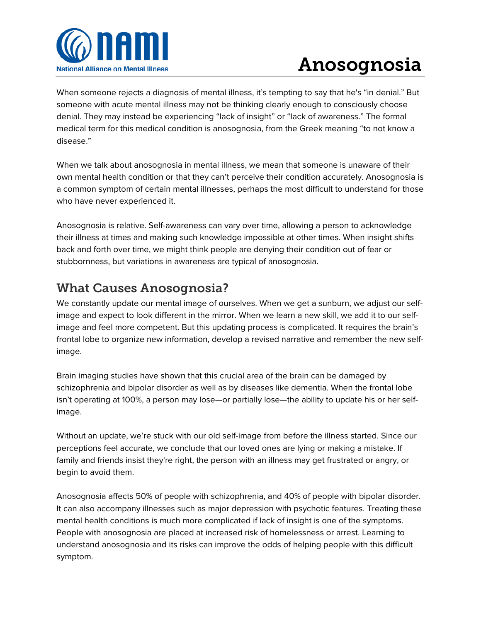

## Anosognosia

When someone rejects a diagnosis of mental illness, it's tempting to say that he's "in denial." But someone with acute mental illness may not be thinking clearly enough to consciously choose denial. They may instead be experiencing "lack of insight" or "lack of awareness." The formal medical term for this medical condition is anosognosia, from the Greek meaning "to not know a disease."

When we talk about anosognosia in mental illness, we mean that someone is unaware of their own mental health condition or that they can't perceive their condition accurately. Anosognosia is a common symptom of certain mental illnesses, perhaps the most difficult to understand for those who have never experienced it.

Anosognosia is relative. Self-awareness can vary over time, allowing a person to acknowledge their illness at times and making such knowledge impossible at other times. When insight shifts back and forth over time, we might think people are denying their condition out of fear or stubbornness, but variations in awareness are typical of anosognosia.

## What Causes Anosognosia?

We constantly update our mental image of ourselves. When we get a sunburn, we adjust our selfimage and expect to look different in the mirror. When we learn a new skill, we add it to our selfimage and feel more competent. But this updating process is complicated. It requires the brain's frontal lobe to organize new information, develop a revised narrative and remember the new selfimage.

Brain imaging studies have shown that this crucial area of the brain can be damaged by schizophrenia and bipolar disorder as well as by diseases like dementia. When the frontal lobe isn't operating at 100%, a person may lose—or partially lose—the ability to update his or her selfimage.

Without an update, we're stuck with our old self-image from before the illness started. Since our perceptions feel accurate, we conclude that our loved ones are lying or making a mistake. If family and friends insist they're right, the person with an illness may get frustrated or angry, or begin to avoid them.

Anosognosia affects 50% of people with schizophrenia, and 40% of people with bipolar disorder. It can also accompany illnesses such as major depression with psychotic features. Treating these mental health conditions is much more complicated if lack of insight is one of the symptoms. People with anosognosia are placed at increased risk of homelessness or arrest. Learning to understand anosognosia and its risks can improve the odds of helping people with this difficult symptom.